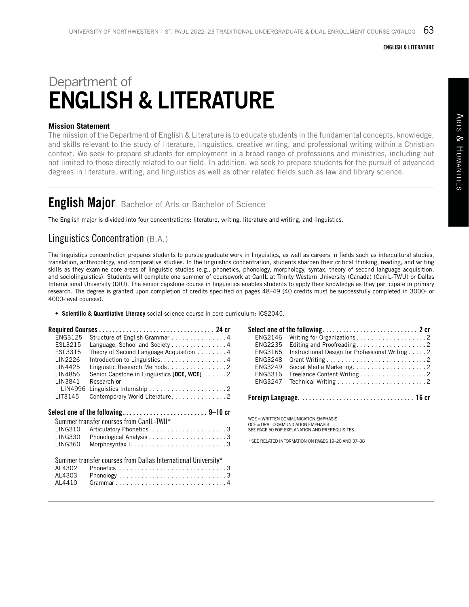#### ENGLISH & LITERATURE

# Department of ENGLISH & LITERATURE

### **Mission Statement**

The mission of the Department of English & Literature is to educate students in the fundamental concepts, knowledge, and skills relevant to the study of literature, linguistics, creative writing, and professional writing within a Christian context. We seek to prepare students for employment in a broad range of professions and ministries, including but not limited to those directly related to our field. In addition, we seek to prepare students for the pursuit of advanced degrees in literature, writing, and linguistics as well as other related fields such as law and library science.

# **English Major** Bachelor of Arts or Bachelor of Science

The English major is divided into four concentrations: literature, writing, literature and writing, and linguistics.

### Linguistics Concentration (B.A.)

The linguistics concentration prepares students to pursue graduate work in linguistics, as well as careers in fields such as intercultural studies, translation, anthropology, and comparative studies. In the linguistics concentration, students sharpen their critical thinking, reading, and writing skills as they examine core areas of linguistic studies (e.g., phonetics, phonology, morphology, syntax, theory of second language acquisition, and sociolinguistics). Students will complete one summer of coursework at CanIL at Trinity Western University (Canada) (CanIL-TWU) or Dallas International University (DIU). The senior capstone course in linguistics enables students to apply their knowledge as they participate in primary research. The degree is granted upon completion of credits specified on pages 48–49 (40 credits must be successfully completed in 3000- or 4000-level courses).

• **Scientific & Quantitative Literacy** social science course in core curriculum: ICS2045.

| ENG3125        | Structure of English Grammar 4                                |
|----------------|---------------------------------------------------------------|
| ESL3215        | Language, School and Society 4                                |
| ESL3315        | Theory of Second Language Acquisition $\dots \dots$           |
| LIN2226        | Introduction to Linguistics4                                  |
| LIN4425        | Linguistic Research Methods2                                  |
| LIN4856        | Senior Capstone in Linguistics $[OCE, WCE]$ 2                 |
| LIN3841        | Research or                                                   |
| LIN4996        |                                                               |
| LIT3145        | Contemporary World Literature. 2                              |
|                |                                                               |
|                |                                                               |
|                |                                                               |
|                | Summer transfer courses from CanlL-TWU*                       |
| <b>LING310</b> | Articulatory Phonetics3                                       |
| <b>LING330</b> |                                                               |
| <b>LING360</b> |                                                               |
|                |                                                               |
|                |                                                               |
| AL4302         | Summer transfer courses from Dallas International University* |
| AL4303         |                                                               |
| AL4410         |                                                               |

| ENG2146        |                                                                      |
|----------------|----------------------------------------------------------------------|
| <b>ENG2235</b> |                                                                      |
| ENG3165        | Instructional Design for Professional Writing 2                      |
| <b>ENG3248</b> |                                                                      |
| ENG3249        |                                                                      |
| ENG3316        | Freelance Content Writing 2                                          |
| <b>FNG3247</b> | Technical Writing $\ldots \ldots \ldots \ldots \ldots \ldots \ldots$ |
|                |                                                                      |

WCE = WRITTEN COMMUNICATION EMPHASIS OCE = ORAL COMMUNICATION EMPHASIS. SEE PAGE 50 FOR EXPLANATION AND PREREQUISITES.

\* SEE RELATED INFORMATION ON PAGES 19–20 AND 37–38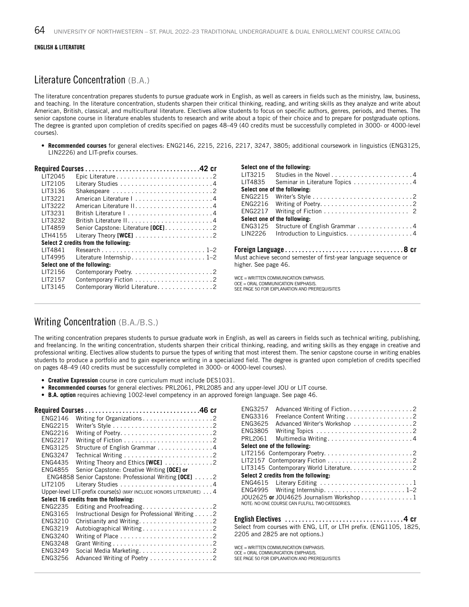#### ENGLISH & LITERATURE

### Literature Concentration (B.A.)

The literature concentration prepares students to pursue graduate work in English, as well as careers in fields such as the ministry, law, business, and teaching. In the literature concentration, students sharpen their critical thinking, reading, and writing skills as they analyze and write about American, British, classical, and multicultural literature. Electives allow students to focus on specific authors, genres, periods, and themes. The senior capstone course in literature enables students to research and write about a topic of their choice and to prepare for postgraduate options. The degree is granted upon completion of credits specified on pages 48–49 (40 credits must be successfully completed in 3000- or 4000-level courses).

• **Recommended courses** for general electives: ENG2146, 2215, 2216, 2217, 3247, 3805; additional coursework in linguistics (ENG3125, LIN2226) and LIT-prefix courses.

| LIT2045 |                                      |  |
|---------|--------------------------------------|--|
| LIT2105 |                                      |  |
| LIT3136 |                                      |  |
| LIT3221 |                                      |  |
| LIT3222 |                                      |  |
| LIT3231 |                                      |  |
| LIT3232 |                                      |  |
| LIT4859 | Senior Capstone: Literature [OCE]. 2 |  |
| LTH4155 |                                      |  |
|         | Select 2 credits from the following: |  |
| LIT4841 |                                      |  |
| LIT4995 |                                      |  |
|         | Select one of the following:         |  |
| LIT2156 |                                      |  |
| LIT2157 |                                      |  |
| LIT3145 | Contemporary World Literature2       |  |
|         |                                      |  |

| Select one of the following: |                                                                 |
|------------------------------|-----------------------------------------------------------------|
| LIT3215                      |                                                                 |
| LIT4835                      | Seminar in Literature Topics 4                                  |
| Select one of the following: |                                                                 |
| ENG2215                      |                                                                 |
| <b>FNG2216</b>               |                                                                 |
| <b>ENG2217</b>               | Writing of Fiction $\ldots \ldots \ldots \ldots \ldots \ldots$  |
| Select one of the following: |                                                                 |
| ENG3125                      | Structure of English Grammar 4                                  |
| LIN2226                      | Introduction to Linguistics. 4                                  |
|                              |                                                                 |
| higher. See page 46.         | Must achieve second semester of first-year language sequence or |
|                              | WCE = WRITTEN COMMUNICATION EMPHASIS.                           |

WCE = WRITTEN COMMUNICATION EMPHASIS. OCE = ORAL COMMUNICATION EMPHASIS. SEE PAGE 50 FOR EXPLANATION AND PREREQUISITES

### Writing Concentration (B.A./B.S.)

The writing concentration prepares students to pursue graduate work in English, as well as careers in fields such as technical writing, publishing, and freelancing. In the writing concentration, students sharpen their critical thinking, reading, and writing skills as they engage in creative and professional writing. Electives allow students to pursue the types of writing that most interest them. The senior capstone course in writing enables students to produce a portfolio and to gain experience writing in a specialized field. The degree is granted upon completion of credits specified on pages 48–49 (40 credits must be successfully completed in 3000- or 4000-level courses).

- **Creative Expression** course in core curriculum must include DES1031.
- **Recommended courses** for general electives: PRL2061, PRL2085 and any upper-level JOU or LIT course.
- **B.A. option** requires achieving 1002-level competency in an approved foreign language. See page 46.

| ENG2146        |                                                                    |  |
|----------------|--------------------------------------------------------------------|--|
| ENG2215        |                                                                    |  |
| FNG2216        |                                                                    |  |
| ENG2217        |                                                                    |  |
| ENG3125        | Structure of English Grammar 4                                     |  |
| ENG3247        |                                                                    |  |
| ENG4435        | Writing Theory and Ethics [WCE] 2                                  |  |
| <b>ENG4855</b> | Senior Capstone: Creative Writing [OCE] or                         |  |
|                | ENG4858 Senior Capstone: Professional Writing [OCE] 2              |  |
| LIT2105        |                                                                    |  |
|                | Upper-level LIT-prefix course(s) (MAY INCLUDE HONORS LITERATURE) 4 |  |
|                | Select 16 credits from the following:                              |  |
| ENG2235        |                                                                    |  |
| ENG3165        | Instructional Design for Professional Writing 2                    |  |
| ENG3210        | Christianity and Writing2                                          |  |
| ENG3219        |                                                                    |  |
| ENG3240        | Writing of Place $\dots\dots\dots\dots\dots\dots\dots\dots\dots$   |  |
| ENG3248        |                                                                    |  |
| ENG3249        | Social Media Marketing2                                            |  |
| ENG3256        | Advanced Writing of Poetry 2                                       |  |
|                |                                                                    |  |

| <b>ENG3257</b><br>Advanced Writing of Fiction. 2                  |
|-------------------------------------------------------------------|
| ENG3316<br>Freelance Content Writing 2                            |
| ENG3625<br>Advanced Writer's Workshop 2                           |
| ENG3805                                                           |
| PRL2061<br>Multimedia Writing4                                    |
| Select one of the following:                                      |
|                                                                   |
|                                                                   |
| LIT3145 Contemporary World Literature. 2                          |
| Select 2 credits from the following:                              |
| ENG4615 Literary Editing 1                                        |
|                                                                   |
| JOU2625 or JOU4625 Journalism Workshop1                           |
| NOTE: NO ONE COURSE CAN FULFILL TWO CATEGORIES.                   |
|                                                                   |
|                                                                   |
| Select from courses with ENG. LIT. or LTH prefix. (ENG1105, 1825. |

Select from courses with ENG, LIT, or LTH prefix. (ENG1105, 1825, 2205 and 2825 are not options.)

WCE = WRITTEN COMMUNICATION EMPHASIS. OCE = ORAL COMMUNICATION EMPHASIS. SEE PAGE 50 FOR EXPLANATION AND PREREQUISITES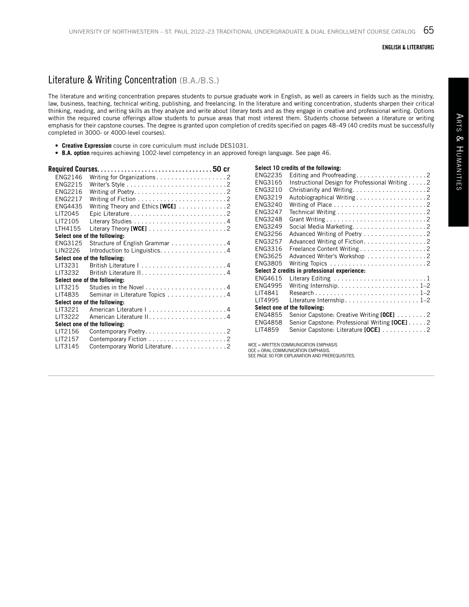#### ENGLISH & LITERATURE;

## Literature & Writing Concentration (B.A./B.S.)

The literature and writing concentration prepares students to pursue graduate work in English, as well as careers in fields such as the ministry, law, business, teaching, technical writing, publishing, and freelancing. In the literature and writing concentration, students sharpen their critical thinking, reading, and writing skills as they analyze and write about literary texts and as they engage in creative and professional writing. Options within the required course offerings allow students to pursue areas that most interest them. Students choose between a literature or writing emphasis for their capstone courses. The degree is granted upon completion of credits specified on pages 48–49 (40 credits must be successfully completed in 3000- or 4000-level courses).

- **Creative Expression** course in core curriculum must include DES1031.
- **B.A. option** requires achieving 1002-level competency in an approved foreign language. See page 46.

| ENG2146        |                                                                   |
|----------------|-------------------------------------------------------------------|
| ENG2215        |                                                                   |
| <b>FNG2216</b> |                                                                   |
| <b>FNG2217</b> |                                                                   |
| FNG4435        | Writing Theory and Ethics [WCE] 2                                 |
| LIT2045        |                                                                   |
| LIT2105        |                                                                   |
| LTH4155        | Literary Theory [WCE] $\ldots \ldots \ldots \ldots \ldots \ldots$ |
|                | Select one of the following:                                      |
| FNG3125        | Structure of English Grammar 4                                    |
| LIN2226        | Introduction to Linguistics. 4                                    |
|                | Select one of the following:                                      |
| LIT3231        |                                                                   |
| LIT3232        |                                                                   |
|                | Select one of the following:                                      |
| LIT3215        |                                                                   |
| LIT4835        | Seminar in Literature Topics 4                                    |
|                | Select one of the following:                                      |
| LIT3221        |                                                                   |
| LIT3222        |                                                                   |
|                | Select one of the following:                                      |
| LIT2156        |                                                                   |
| LIT2157        |                                                                   |
| LIT3145        | Contemporary World Literature2                                    |

| Select 10 credits of the following: |                                                                            |
|-------------------------------------|----------------------------------------------------------------------------|
| ENG2235                             | Editing and Proofreading2                                                  |
| ENG3165                             | Instructional Design for Professional Writing 2                            |
| ENG3210                             |                                                                            |
| ENG3219                             |                                                                            |
| ENG3240                             |                                                                            |
| ENG3247                             |                                                                            |
| <b>ENG3248</b>                      |                                                                            |
| ENG3249                             | Social Media Marketing2                                                    |
| ENG3256                             | Advanced Writing of Poetry 2                                               |
| <b>ENG3257</b>                      | Advanced Writing of Fiction. 2                                             |
| ENG3316                             | Freelance Content Writing 2                                                |
| ENG3625                             | Advanced Writer's Workshop 2                                               |
| ENG3805                             |                                                                            |
|                                     | Select 2 credits in professional experience:                               |
| ENG4615                             |                                                                            |
| <b>FNG4995</b>                      | Writing Internship. $\ldots \ldots \ldots \ldots \ldots \ldots \ldots 1-2$ |
| LIT4841                             |                                                                            |
| LIT4995                             | Literature Internship. $\dots\dots\dots\dots\dots\dots\dots1$ –2           |
|                                     | Select one of the following:                                               |
| <b>ENG4855</b>                      | Senior Capstone: Creative Writing [OCE] 2                                  |
| <b>ENG4858</b>                      | Senior Capstone: Professional Writing [OCE] 2                              |
| <b>I IT4859</b>                     | Senior Capstone: Literature [OCE] 2                                        |
|                                     |                                                                            |

WCE = WRITTEN COMMUNICATION EMPHASIS

OCE = ORAL COMMUNICATION EMPHASIS. SEE PAGE 50 FOR EXPLANATION AND PREREQUISITES.